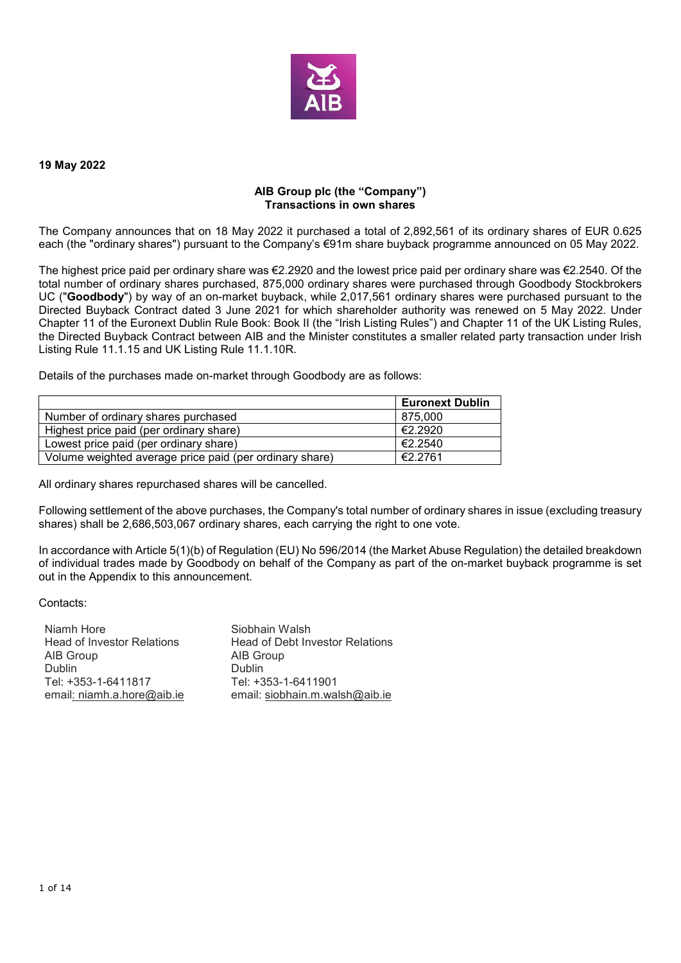

#### **19 May 2022**

### **AIB Group plc (the "Company") Transactions in own shares**

The Company announces that on 18 May 2022 it purchased a total of 2,892,561 of its ordinary shares of EUR 0.625 each (the "ordinary shares") pursuant to the Company's €91m share buyback programme announced on 05 May 2022.

The highest price paid per ordinary share was €2.2920 and the lowest price paid per ordinary share was €2.2540. Of the total number of ordinary shares purchased, 875,000 ordinary shares were purchased through Goodbody Stockbrokers UC ("**Goodbody**") by way of an on-market buyback, while 2,017,561 ordinary shares were purchased pursuant to the Directed Buyback Contract dated 3 June 2021 for which shareholder authority was renewed on 5 May 2022. Under Chapter 11 of the Euronext Dublin Rule Book: Book II (the "Irish Listing Rules") and Chapter 11 of the UK Listing Rules, the Directed Buyback Contract between AIB and the Minister constitutes a smaller related party transaction under Irish Listing Rule 11.1.15 and UK Listing Rule 11.1.10R.

Details of the purchases made on-market through Goodbody are as follows:

|                                                         | <b>Euronext Dublin</b> |
|---------------------------------------------------------|------------------------|
| Number of ordinary shares purchased                     | 875.000                |
| Highest price paid (per ordinary share)                 | €2.2920                |
| Lowest price paid (per ordinary share)                  | €2.2540                |
| Volume weighted average price paid (per ordinary share) | €2.2761                |

All ordinary shares repurchased shares will be cancelled.

Following settlement of the above purchases, the Company's total number of ordinary shares in issue (excluding treasury shares) shall be 2,686,503,067 ordinary shares, each carrying the right to one vote.

In accordance with Article 5(1)(b) of Regulation (EU) No 596/2014 (the Market Abuse Regulation) the detailed breakdown of individual trades made by Goodbody on behalf of the Company as part of the on-market buyback programme is set out in the Appendix to this announcement.

Contacts:

| Niamh Hore                        | Siobhain Walsh                         |
|-----------------------------------|----------------------------------------|
| <b>Head of Investor Relations</b> | <b>Head of Debt Investor Relations</b> |
| AIB Group                         | AIB Group                              |
| Dublin                            | <b>Dublin</b>                          |
| Tel: +353-1-6411817               | Tel: +353-1-6411901                    |
| email: niamh.a.hore@aib.ie        | email: siobhain.m.walsh@aib.ie         |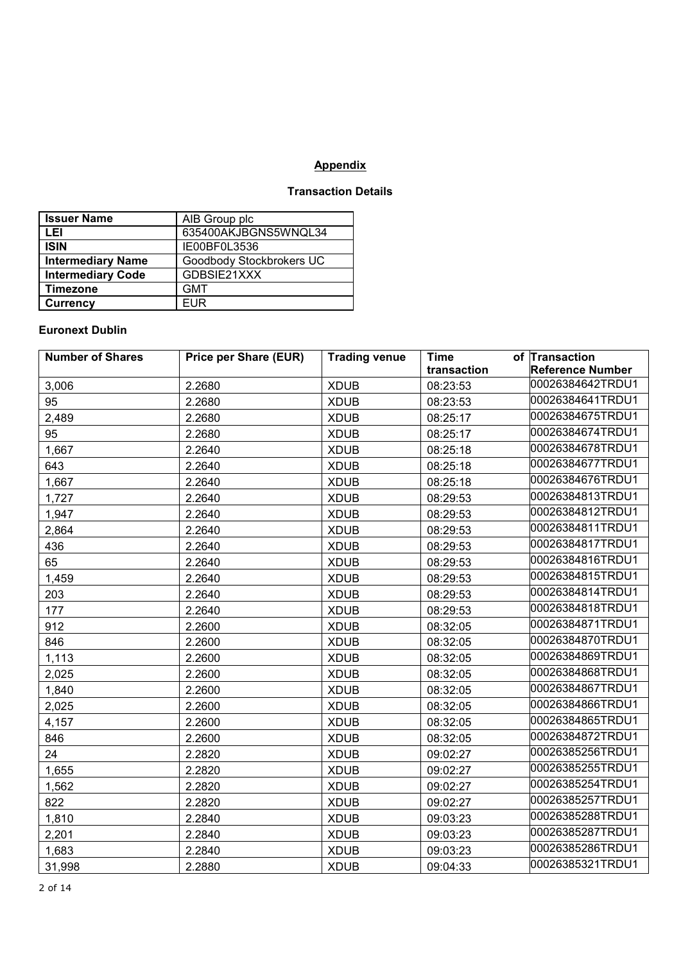# **Appendix**

## **Transaction Details**

| <b>Issuer Name</b>       | AIB Group plc            |
|--------------------------|--------------------------|
| LEI                      | 635400AKJBGNS5WNQL34     |
| <b>ISIN</b>              | IE00BF0L3536             |
| <b>Intermediary Name</b> | Goodbody Stockbrokers UC |
| <b>Intermediary Code</b> | GDBSIE21XXX              |
| <b>Timezone</b>          | <b>GMT</b>               |
| <b>Currency</b>          | <b>FUR</b>               |

### **Euronext Dublin**

| <b>Number of Shares</b> | <b>Price per Share (EUR)</b> | <b>Trading venue</b> | <b>Time</b> | of Transaction          |
|-------------------------|------------------------------|----------------------|-------------|-------------------------|
|                         |                              |                      | transaction | <b>Reference Number</b> |
| 3,006                   | 2.2680                       | <b>XDUB</b>          | 08:23:53    | 00026384642TRDU1        |
| 95                      | 2.2680                       | <b>XDUB</b>          | 08:23:53    | 00026384641TRDU1        |
| 2,489                   | 2.2680                       | <b>XDUB</b>          | 08:25:17    | 00026384675TRDU1        |
| 95                      | 2.2680                       | <b>XDUB</b>          | 08:25:17    | 00026384674TRDU1        |
| 1,667                   | 2.2640                       | <b>XDUB</b>          | 08:25:18    | 00026384678TRDU1        |
| 643                     | 2.2640                       | <b>XDUB</b>          | 08:25:18    | 00026384677TRDU1        |
| 1,667                   | 2.2640                       | <b>XDUB</b>          | 08:25:18    | 00026384676TRDU1        |
| 1,727                   | 2.2640                       | <b>XDUB</b>          | 08:29:53    | 00026384813TRDU1        |
| 1,947                   | 2.2640                       | <b>XDUB</b>          | 08:29:53    | 00026384812TRDU1        |
| 2,864                   | 2.2640                       | <b>XDUB</b>          | 08:29:53    | 00026384811TRDU1        |
| 436                     | 2.2640                       | <b>XDUB</b>          | 08:29:53    | 00026384817TRDU1        |
| 65                      | 2.2640                       | <b>XDUB</b>          | 08:29:53    | 00026384816TRDU1        |
| 1,459                   | 2.2640                       | <b>XDUB</b>          | 08:29:53    | 00026384815TRDU1        |
| 203                     | 2.2640                       | <b>XDUB</b>          | 08:29:53    | 00026384814TRDU1        |
| 177                     | 2.2640                       | <b>XDUB</b>          | 08:29:53    | 00026384818TRDU1        |
| 912                     | 2.2600                       | <b>XDUB</b>          | 08:32:05    | 00026384871TRDU1        |
| 846                     | 2.2600                       | <b>XDUB</b>          | 08:32:05    | 00026384870TRDU1        |
| 1,113                   | 2.2600                       | <b>XDUB</b>          | 08:32:05    | 00026384869TRDU1        |
| 2,025                   | 2.2600                       | <b>XDUB</b>          | 08:32:05    | 00026384868TRDU1        |
| 1,840                   | 2.2600                       | <b>XDUB</b>          | 08:32:05    | 00026384867TRDU1        |
| 2,025                   | 2.2600                       | <b>XDUB</b>          | 08:32:05    | 00026384866TRDU1        |
| 4,157                   | 2.2600                       | <b>XDUB</b>          | 08:32:05    | 00026384865TRDU1        |
| 846                     | 2.2600                       | <b>XDUB</b>          | 08:32:05    | 00026384872TRDU1        |
| 24                      | 2.2820                       | <b>XDUB</b>          | 09:02:27    | 00026385256TRDU1        |
| 1,655                   | 2.2820                       | <b>XDUB</b>          | 09:02:27    | 00026385255TRDU1        |
| 1,562                   | 2.2820                       | <b>XDUB</b>          | 09:02:27    | 00026385254TRDU1        |
| 822                     | 2.2820                       | <b>XDUB</b>          | 09:02:27    | 00026385257TRDU1        |
| 1,810                   | 2.2840                       | <b>XDUB</b>          | 09:03:23    | 00026385288TRDU1        |
| 2,201                   | 2.2840                       | <b>XDUB</b>          | 09:03:23    | 00026385287TRDU1        |
| 1,683                   | 2.2840                       | <b>XDUB</b>          | 09:03:23    | 00026385286TRDU1        |
| 31,998                  | 2.2880                       | <b>XDUB</b>          | 09:04:33    | 00026385321TRDU1        |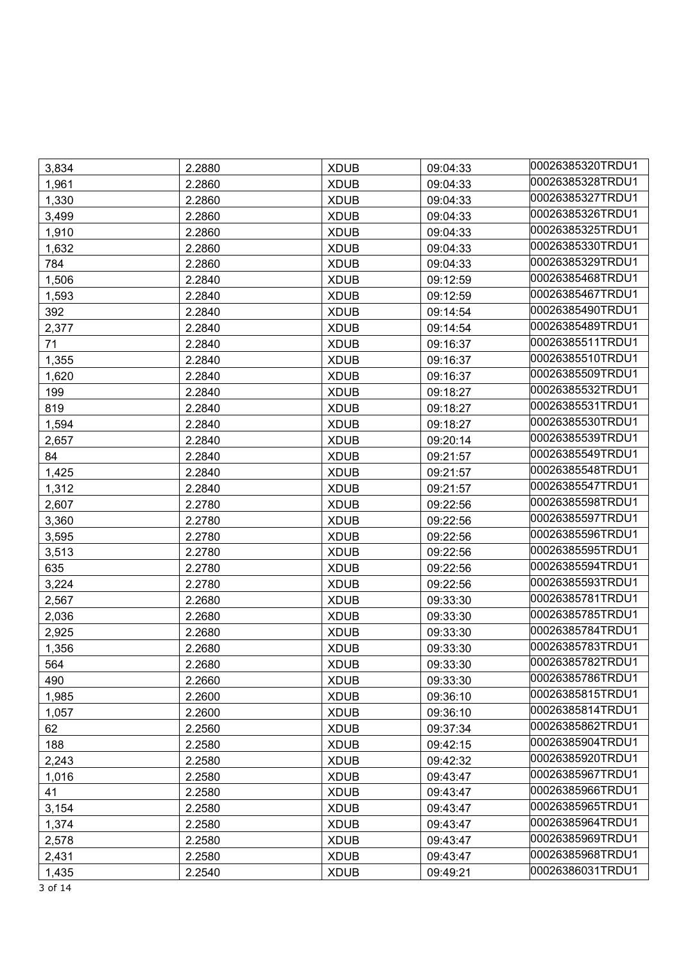| 3,834 | 2.2880 | <b>XDUB</b> | 09:04:33 | 00026385320TRDU1 |
|-------|--------|-------------|----------|------------------|
| 1,961 | 2.2860 | <b>XDUB</b> | 09:04:33 | 00026385328TRDU1 |
| 1,330 | 2.2860 | <b>XDUB</b> | 09:04:33 | 00026385327TRDU1 |
| 3,499 | 2.2860 | <b>XDUB</b> | 09:04:33 | 00026385326TRDU1 |
| 1,910 | 2.2860 | <b>XDUB</b> | 09:04:33 | 00026385325TRDU1 |
| 1,632 | 2.2860 | <b>XDUB</b> | 09:04:33 | 00026385330TRDU1 |
| 784   | 2.2860 | <b>XDUB</b> | 09:04:33 | 00026385329TRDU1 |
| 1,506 | 2.2840 | <b>XDUB</b> | 09:12:59 | 00026385468TRDU1 |
| 1,593 | 2.2840 | <b>XDUB</b> | 09:12:59 | 00026385467TRDU1 |
| 392   | 2.2840 | <b>XDUB</b> | 09:14:54 | 00026385490TRDU1 |
| 2,377 | 2.2840 | <b>XDUB</b> | 09:14:54 | 00026385489TRDU1 |
| 71    | 2.2840 | <b>XDUB</b> | 09:16:37 | 00026385511TRDU1 |
| 1,355 | 2.2840 | <b>XDUB</b> | 09:16:37 | 00026385510TRDU1 |
| 1,620 | 2.2840 | <b>XDUB</b> | 09:16:37 | 00026385509TRDU1 |
| 199   | 2.2840 | <b>XDUB</b> | 09:18:27 | 00026385532TRDU1 |
| 819   | 2.2840 | <b>XDUB</b> | 09:18:27 | 00026385531TRDU1 |
| 1,594 | 2.2840 | <b>XDUB</b> | 09:18:27 | 00026385530TRDU1 |
| 2,657 | 2.2840 | <b>XDUB</b> | 09:20:14 | 00026385539TRDU1 |
| 84    | 2.2840 | <b>XDUB</b> | 09:21:57 | 00026385549TRDU1 |
| 1,425 | 2.2840 | <b>XDUB</b> | 09:21:57 | 00026385548TRDU1 |
| 1,312 | 2.2840 | <b>XDUB</b> | 09:21:57 | 00026385547TRDU1 |
| 2,607 | 2.2780 | <b>XDUB</b> | 09:22:56 | 00026385598TRDU1 |
| 3,360 | 2.2780 | <b>XDUB</b> | 09:22:56 | 00026385597TRDU1 |
| 3,595 | 2.2780 | <b>XDUB</b> | 09:22:56 | 00026385596TRDU1 |
| 3,513 | 2.2780 | <b>XDUB</b> | 09:22:56 | 00026385595TRDU1 |
| 635   | 2.2780 | <b>XDUB</b> | 09:22:56 | 00026385594TRDU1 |
| 3,224 | 2.2780 | <b>XDUB</b> | 09:22:56 | 00026385593TRDU1 |
| 2,567 | 2.2680 | <b>XDUB</b> | 09:33:30 | 00026385781TRDU1 |
| 2,036 | 2.2680 | <b>XDUB</b> | 09:33:30 | 00026385785TRDU1 |
| 2,925 | 2.2680 | <b>XDUB</b> | 09:33:30 | 00026385784TRDU1 |
| 1,356 | 2.2680 | <b>XDUB</b> | 09:33:30 | 00026385783TRDU1 |
| 564   | 2.2680 | <b>XDUB</b> | 09:33:30 | 00026385782TRDU1 |
| 490   | 2.2660 | <b>XDUB</b> | 09:33:30 | 00026385786TRDU1 |
| 1,985 | 2.2600 | <b>XDUB</b> | 09:36:10 | 00026385815TRDU1 |
| 1,057 | 2.2600 | <b>XDUB</b> | 09:36:10 | 00026385814TRDU1 |
| 62    | 2.2560 | <b>XDUB</b> | 09:37:34 | 00026385862TRDU1 |
| 188   | 2.2580 | <b>XDUB</b> | 09:42:15 | 00026385904TRDU1 |
| 2,243 | 2.2580 | <b>XDUB</b> | 09:42:32 | 00026385920TRDU1 |
| 1,016 | 2.2580 | <b>XDUB</b> | 09:43:47 | 00026385967TRDU1 |
| 41    | 2.2580 | <b>XDUB</b> | 09:43:47 | 00026385966TRDU1 |
| 3,154 | 2.2580 | <b>XDUB</b> | 09:43:47 | 00026385965TRDU1 |
| 1,374 | 2.2580 | <b>XDUB</b> | 09:43:47 | 00026385964TRDU1 |
| 2,578 | 2.2580 | <b>XDUB</b> | 09:43:47 | 00026385969TRDU1 |
| 2,431 | 2.2580 | <b>XDUB</b> | 09:43:47 | 00026385968TRDU1 |
| 1,435 | 2.2540 | <b>XDUB</b> | 09:49:21 | 00026386031TRDU1 |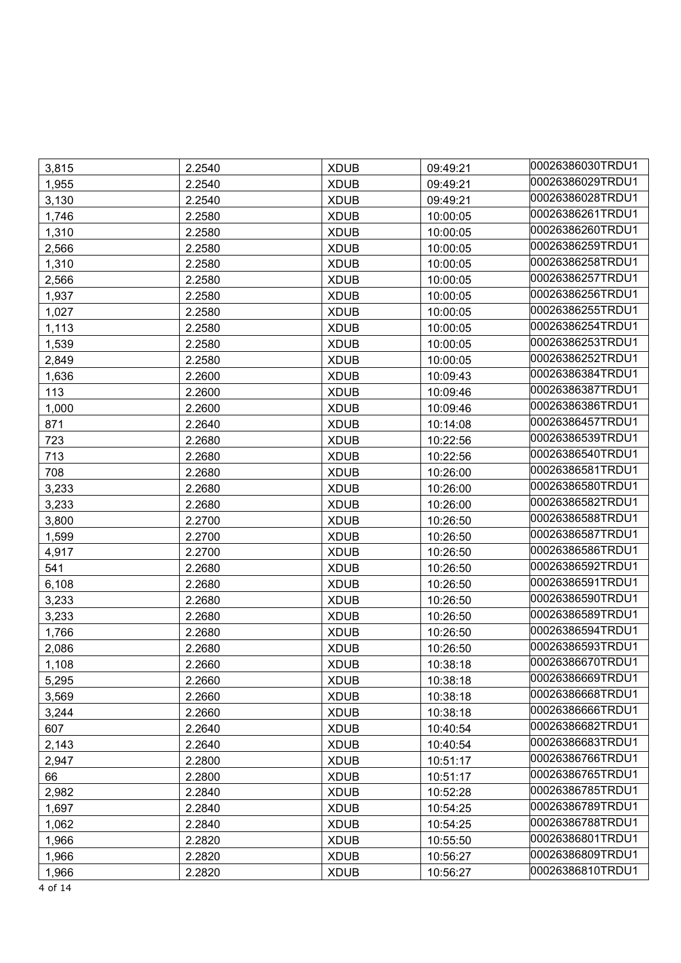| 3,815 | 2.2540 | <b>XDUB</b> | 09:49:21 | 00026386030TRDU1 |
|-------|--------|-------------|----------|------------------|
| 1,955 | 2.2540 | <b>XDUB</b> | 09:49:21 | 00026386029TRDU1 |
| 3,130 | 2.2540 | <b>XDUB</b> | 09:49:21 | 00026386028TRDU1 |
| 1,746 | 2.2580 | <b>XDUB</b> | 10:00:05 | 00026386261TRDU1 |
| 1,310 | 2.2580 | <b>XDUB</b> | 10:00:05 | 00026386260TRDU1 |
| 2,566 | 2.2580 | <b>XDUB</b> | 10:00:05 | 00026386259TRDU1 |
| 1,310 | 2.2580 | <b>XDUB</b> | 10:00:05 | 00026386258TRDU1 |
| 2,566 | 2.2580 | <b>XDUB</b> | 10:00:05 | 00026386257TRDU1 |
| 1,937 | 2.2580 | <b>XDUB</b> | 10:00:05 | 00026386256TRDU1 |
| 1,027 | 2.2580 | <b>XDUB</b> | 10:00:05 | 00026386255TRDU1 |
| 1,113 | 2.2580 | <b>XDUB</b> | 10:00:05 | 00026386254TRDU1 |
| 1,539 | 2.2580 | <b>XDUB</b> | 10:00:05 | 00026386253TRDU1 |
| 2,849 | 2.2580 | <b>XDUB</b> | 10:00:05 | 00026386252TRDU1 |
| 1,636 | 2.2600 | <b>XDUB</b> | 10:09:43 | 00026386384TRDU1 |
| 113   | 2.2600 | <b>XDUB</b> | 10:09:46 | 00026386387TRDU1 |
| 1,000 | 2.2600 | <b>XDUB</b> | 10:09:46 | 00026386386TRDU1 |
| 871   | 2.2640 | <b>XDUB</b> | 10:14:08 | 00026386457TRDU1 |
| 723   | 2.2680 | <b>XDUB</b> | 10:22:56 | 00026386539TRDU1 |
| 713   | 2.2680 | <b>XDUB</b> | 10:22:56 | 00026386540TRDU1 |
| 708   | 2.2680 | <b>XDUB</b> | 10:26:00 | 00026386581TRDU1 |
| 3,233 | 2.2680 | <b>XDUB</b> | 10:26:00 | 00026386580TRDU1 |
| 3,233 | 2.2680 | <b>XDUB</b> | 10:26:00 | 00026386582TRDU1 |
| 3,800 | 2.2700 | <b>XDUB</b> | 10:26:50 | 00026386588TRDU1 |
| 1,599 | 2.2700 | <b>XDUB</b> | 10:26:50 | 00026386587TRDU1 |
| 4,917 | 2.2700 | <b>XDUB</b> | 10:26:50 | 00026386586TRDU1 |
| 541   | 2.2680 | <b>XDUB</b> | 10:26:50 | 00026386592TRDU1 |
| 6,108 | 2.2680 | <b>XDUB</b> | 10:26:50 | 00026386591TRDU1 |
| 3,233 | 2.2680 | <b>XDUB</b> | 10:26:50 | 00026386590TRDU1 |
| 3,233 | 2.2680 | <b>XDUB</b> | 10:26:50 | 00026386589TRDU1 |
| 1,766 | 2.2680 | <b>XDUB</b> | 10:26:50 | 00026386594TRDU1 |
| 2,086 | 2.2680 | <b>XDUB</b> | 10:26:50 | 00026386593TRDU1 |
| 1,108 | 2.2660 | <b>XDUB</b> | 10:38:18 | 00026386670TRDU1 |
| 5,295 | 2.2660 | <b>XDUB</b> | 10:38:18 | 00026386669TRDU1 |
| 3,569 | 2.2660 | <b>XDUB</b> | 10:38:18 | 00026386668TRDU1 |
| 3,244 | 2.2660 | <b>XDUB</b> | 10:38:18 | 00026386666TRDU1 |
| 607   | 2.2640 | <b>XDUB</b> | 10:40:54 | 00026386682TRDU1 |
| 2,143 | 2.2640 | <b>XDUB</b> | 10:40:54 | 00026386683TRDU1 |
| 2,947 | 2.2800 | <b>XDUB</b> | 10:51:17 | 00026386766TRDU1 |
| 66    | 2.2800 | <b>XDUB</b> | 10:51:17 | 00026386765TRDU1 |
| 2,982 | 2.2840 | <b>XDUB</b> | 10:52:28 | 00026386785TRDU1 |
| 1,697 | 2.2840 | <b>XDUB</b> | 10:54:25 | 00026386789TRDU1 |
| 1,062 | 2.2840 | <b>XDUB</b> | 10:54:25 | 00026386788TRDU1 |
| 1,966 | 2.2820 | <b>XDUB</b> | 10:55:50 | 00026386801TRDU1 |
| 1,966 | 2.2820 | <b>XDUB</b> | 10:56:27 | 00026386809TRDU1 |
| 1,966 | 2.2820 | <b>XDUB</b> | 10:56:27 | 00026386810TRDU1 |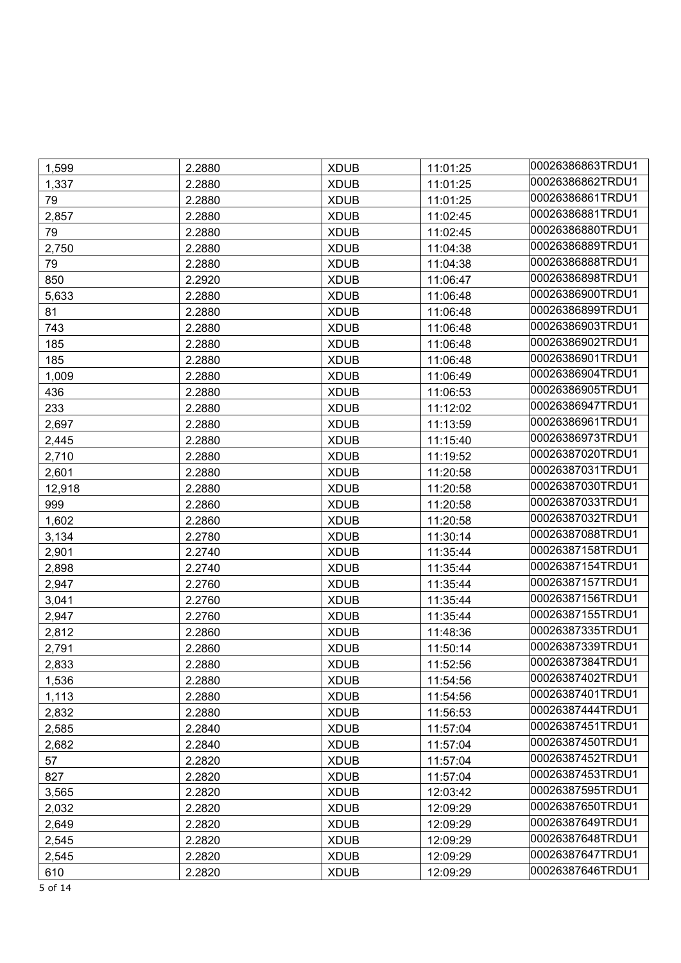| 1,599  | 2.2880 | <b>XDUB</b> | 11:01:25 | 00026386863TRDU1 |
|--------|--------|-------------|----------|------------------|
| 1,337  | 2.2880 | <b>XDUB</b> | 11:01:25 | 00026386862TRDU1 |
| 79     | 2.2880 | <b>XDUB</b> | 11:01:25 | 00026386861TRDU1 |
| 2,857  | 2.2880 | <b>XDUB</b> | 11:02:45 | 00026386881TRDU1 |
| 79     | 2.2880 | <b>XDUB</b> | 11:02:45 | 00026386880TRDU1 |
| 2,750  | 2.2880 | <b>XDUB</b> | 11:04:38 | 00026386889TRDU1 |
| 79     | 2.2880 | <b>XDUB</b> | 11:04:38 | 00026386888TRDU1 |
| 850    | 2.2920 | <b>XDUB</b> | 11:06:47 | 00026386898TRDU1 |
| 5,633  | 2.2880 | <b>XDUB</b> | 11:06:48 | 00026386900TRDU1 |
| 81     | 2.2880 | <b>XDUB</b> | 11:06:48 | 00026386899TRDU1 |
| 743    | 2.2880 | <b>XDUB</b> | 11:06:48 | 00026386903TRDU1 |
| 185    | 2.2880 | <b>XDUB</b> | 11:06:48 | 00026386902TRDU1 |
| 185    | 2.2880 | <b>XDUB</b> | 11:06:48 | 00026386901TRDU1 |
| 1,009  | 2.2880 | <b>XDUB</b> | 11:06:49 | 00026386904TRDU1 |
| 436    | 2.2880 | <b>XDUB</b> | 11:06:53 | 00026386905TRDU1 |
| 233    | 2.2880 | <b>XDUB</b> | 11:12:02 | 00026386947TRDU1 |
| 2,697  | 2.2880 | <b>XDUB</b> | 11:13:59 | 00026386961TRDU1 |
| 2,445  | 2.2880 | <b>XDUB</b> | 11:15:40 | 00026386973TRDU1 |
| 2,710  | 2.2880 | <b>XDUB</b> | 11:19:52 | 00026387020TRDU1 |
| 2,601  | 2.2880 | <b>XDUB</b> | 11:20:58 | 00026387031TRDU1 |
| 12,918 | 2.2880 | <b>XDUB</b> | 11:20:58 | 00026387030TRDU1 |
| 999    | 2.2860 | <b>XDUB</b> | 11:20:58 | 00026387033TRDU1 |
| 1,602  | 2.2860 | <b>XDUB</b> | 11:20:58 | 00026387032TRDU1 |
| 3,134  | 2.2780 | <b>XDUB</b> | 11:30:14 | 00026387088TRDU1 |
| 2,901  | 2.2740 | <b>XDUB</b> | 11:35:44 | 00026387158TRDU1 |
| 2,898  | 2.2740 | <b>XDUB</b> | 11:35:44 | 00026387154TRDU1 |
| 2,947  | 2.2760 | <b>XDUB</b> | 11:35:44 | 00026387157TRDU1 |
| 3,041  | 2.2760 | <b>XDUB</b> | 11:35:44 | 00026387156TRDU1 |
| 2,947  | 2.2760 | <b>XDUB</b> | 11:35:44 | 00026387155TRDU1 |
| 2,812  | 2.2860 | <b>XDUB</b> | 11:48:36 | 00026387335TRDU1 |
| 2,791  | 2.2860 | <b>XDUB</b> | 11:50:14 | 00026387339TRDU1 |
| 2,833  | 2.2880 | <b>XDUB</b> | 11:52:56 | 00026387384TRDU1 |
| 1,536  | 2.2880 | <b>XDUB</b> | 11:54:56 | 00026387402TRDU1 |
| 1,113  | 2.2880 | <b>XDUB</b> | 11:54:56 | 00026387401TRDU1 |
| 2,832  | 2.2880 | <b>XDUB</b> | 11:56:53 | 00026387444TRDU1 |
| 2,585  | 2.2840 | <b>XDUB</b> | 11:57:04 | 00026387451TRDU1 |
| 2,682  | 2.2840 | <b>XDUB</b> | 11:57:04 | 00026387450TRDU1 |
| 57     | 2.2820 | <b>XDUB</b> | 11:57:04 | 00026387452TRDU1 |
| 827    | 2.2820 | <b>XDUB</b> | 11:57:04 | 00026387453TRDU1 |
| 3,565  | 2.2820 | <b>XDUB</b> | 12:03:42 | 00026387595TRDU1 |
| 2,032  | 2.2820 | <b>XDUB</b> | 12:09:29 | 00026387650TRDU1 |
| 2,649  | 2.2820 | <b>XDUB</b> | 12:09:29 | 00026387649TRDU1 |
| 2,545  | 2.2820 | <b>XDUB</b> | 12:09:29 | 00026387648TRDU1 |
| 2,545  | 2.2820 | <b>XDUB</b> | 12:09:29 | 00026387647TRDU1 |
| 610    | 2.2820 | <b>XDUB</b> | 12:09:29 | 00026387646TRDU1 |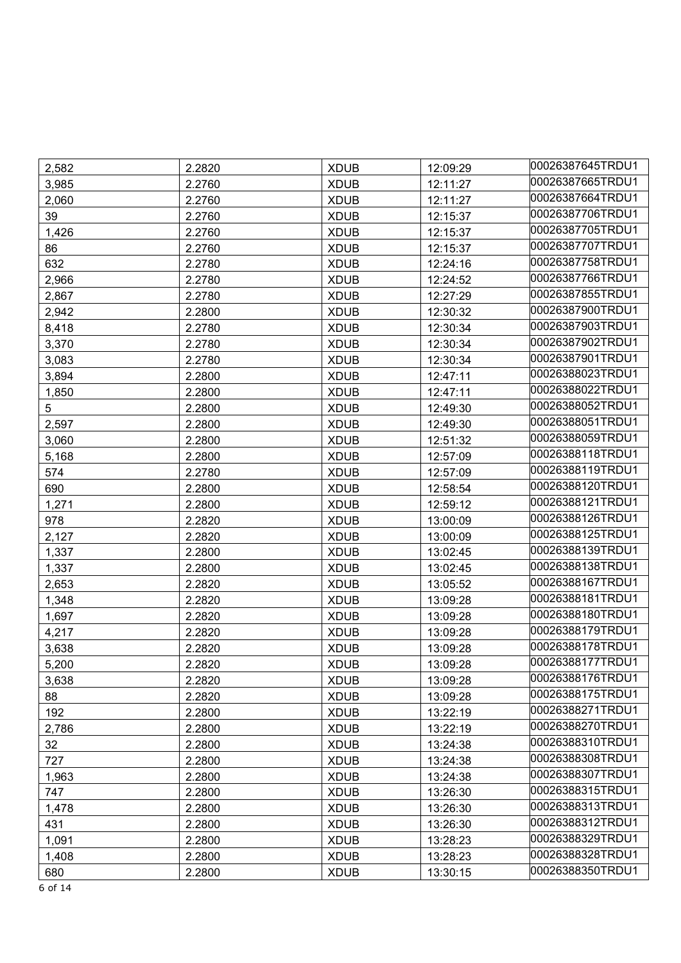| 2,582 | 2.2820 | <b>XDUB</b> | 12:09:29 | 00026387645TRDU1 |
|-------|--------|-------------|----------|------------------|
| 3,985 | 2.2760 | <b>XDUB</b> | 12:11:27 | 00026387665TRDU1 |
| 2,060 | 2.2760 | <b>XDUB</b> | 12:11:27 | 00026387664TRDU1 |
| 39    | 2.2760 | <b>XDUB</b> | 12:15:37 | 00026387706TRDU1 |
| 1,426 | 2.2760 | <b>XDUB</b> | 12:15:37 | 00026387705TRDU1 |
| 86    | 2.2760 | <b>XDUB</b> | 12:15:37 | 00026387707TRDU1 |
| 632   | 2.2780 | <b>XDUB</b> | 12:24:16 | 00026387758TRDU1 |
| 2,966 | 2.2780 | <b>XDUB</b> | 12:24:52 | 00026387766TRDU1 |
| 2,867 | 2.2780 | <b>XDUB</b> | 12:27:29 | 00026387855TRDU1 |
| 2,942 | 2.2800 | <b>XDUB</b> | 12:30:32 | 00026387900TRDU1 |
| 8,418 | 2.2780 | <b>XDUB</b> | 12:30:34 | 00026387903TRDU1 |
| 3,370 | 2.2780 | <b>XDUB</b> | 12:30:34 | 00026387902TRDU1 |
| 3,083 | 2.2780 | <b>XDUB</b> | 12:30:34 | 00026387901TRDU1 |
| 3,894 | 2.2800 | <b>XDUB</b> | 12:47:11 | 00026388023TRDU1 |
| 1,850 | 2.2800 | <b>XDUB</b> | 12:47:11 | 00026388022TRDU1 |
| 5     | 2.2800 | <b>XDUB</b> | 12:49:30 | 00026388052TRDU1 |
| 2,597 | 2.2800 | <b>XDUB</b> | 12:49:30 | 00026388051TRDU1 |
| 3,060 | 2.2800 | <b>XDUB</b> | 12:51:32 | 00026388059TRDU1 |
| 5,168 | 2.2800 | <b>XDUB</b> | 12:57:09 | 00026388118TRDU1 |
| 574   | 2.2780 | <b>XDUB</b> | 12:57:09 | 00026388119TRDU1 |
| 690   | 2.2800 | <b>XDUB</b> | 12:58:54 | 00026388120TRDU1 |
| 1,271 | 2.2800 | <b>XDUB</b> | 12:59:12 | 00026388121TRDU1 |
| 978   | 2.2820 | <b>XDUB</b> | 13:00:09 | 00026388126TRDU1 |
| 2,127 | 2.2820 | <b>XDUB</b> | 13:00:09 | 00026388125TRDU1 |
| 1,337 | 2.2800 | <b>XDUB</b> | 13:02:45 | 00026388139TRDU1 |
| 1,337 | 2.2800 | <b>XDUB</b> | 13:02:45 | 00026388138TRDU1 |
| 2,653 | 2.2820 | <b>XDUB</b> | 13:05:52 | 00026388167TRDU1 |
| 1,348 | 2.2820 | <b>XDUB</b> | 13:09:28 | 00026388181TRDU1 |
| 1,697 | 2.2820 | <b>XDUB</b> | 13:09:28 | 00026388180TRDU1 |
| 4,217 | 2.2820 | <b>XDUB</b> | 13:09:28 | 00026388179TRDU1 |
| 3,638 | 2.2820 | <b>XDUB</b> | 13:09:28 | 00026388178TRDU1 |
| 5,200 | 2.2820 | <b>XDUB</b> | 13:09:28 | 00026388177TRDU1 |
| 3,638 | 2.2820 | <b>XDUB</b> | 13:09:28 | 00026388176TRDU1 |
| 88    | 2.2820 | <b>XDUB</b> | 13:09:28 | 00026388175TRDU1 |
| 192   | 2.2800 | <b>XDUB</b> | 13:22:19 | 00026388271TRDU1 |
| 2,786 | 2.2800 | <b>XDUB</b> | 13:22:19 | 00026388270TRDU1 |
| 32    | 2.2800 | <b>XDUB</b> | 13:24:38 | 00026388310TRDU1 |
| 727   | 2.2800 | <b>XDUB</b> | 13:24:38 | 00026388308TRDU1 |
| 1,963 | 2.2800 | <b>XDUB</b> | 13:24:38 | 00026388307TRDU1 |
| 747   | 2.2800 | <b>XDUB</b> | 13:26:30 | 00026388315TRDU1 |
| 1,478 | 2.2800 | <b>XDUB</b> | 13:26:30 | 00026388313TRDU1 |
| 431   | 2.2800 | <b>XDUB</b> | 13:26:30 | 00026388312TRDU1 |
| 1,091 | 2.2800 | <b>XDUB</b> | 13:28:23 | 00026388329TRDU1 |
| 1,408 | 2.2800 | <b>XDUB</b> | 13:28:23 | 00026388328TRDU1 |
| 680   | 2.2800 | <b>XDUB</b> | 13:30:15 | 00026388350TRDU1 |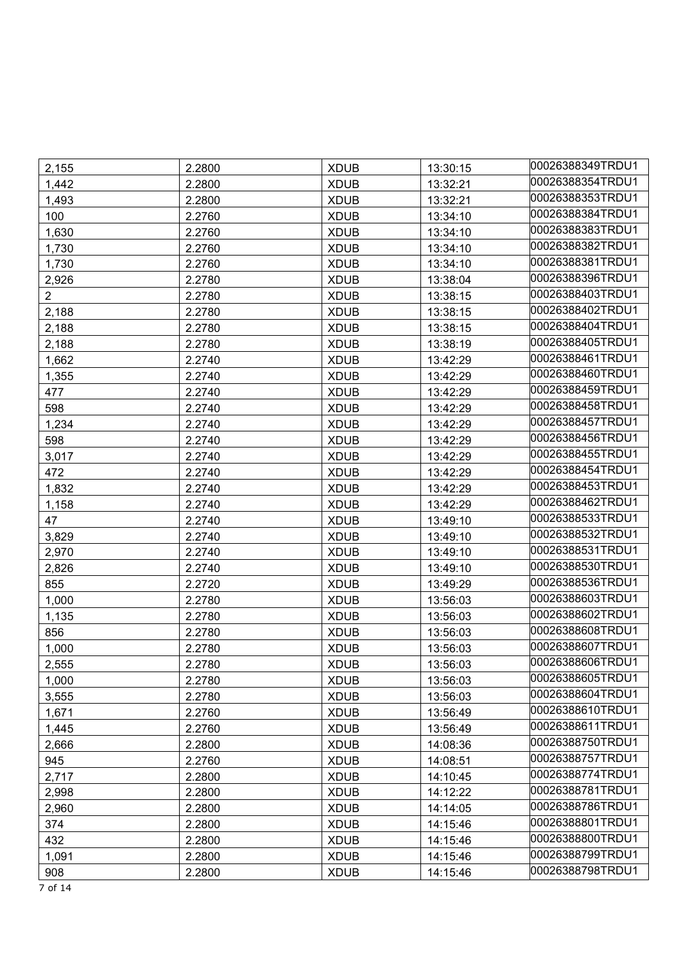| 2,155          | 2.2800 | <b>XDUB</b> | 13:30:15 | 00026388349TRDU1 |
|----------------|--------|-------------|----------|------------------|
| 1,442          | 2.2800 | <b>XDUB</b> | 13:32:21 | 00026388354TRDU1 |
| 1,493          | 2.2800 | <b>XDUB</b> | 13:32:21 | 00026388353TRDU1 |
| 100            | 2.2760 | <b>XDUB</b> | 13:34:10 | 00026388384TRDU1 |
| 1,630          | 2.2760 | <b>XDUB</b> | 13:34:10 | 00026388383TRDU1 |
| 1,730          | 2.2760 | <b>XDUB</b> | 13:34:10 | 00026388382TRDU1 |
| 1,730          | 2.2760 | <b>XDUB</b> | 13:34:10 | 00026388381TRDU1 |
| 2,926          | 2.2780 | <b>XDUB</b> | 13:38:04 | 00026388396TRDU1 |
| $\overline{2}$ | 2.2780 | <b>XDUB</b> | 13:38:15 | 00026388403TRDU1 |
| 2,188          | 2.2780 | <b>XDUB</b> | 13:38:15 | 00026388402TRDU1 |
| 2,188          | 2.2780 | <b>XDUB</b> | 13:38:15 | 00026388404TRDU1 |
| 2,188          | 2.2780 | <b>XDUB</b> | 13:38:19 | 00026388405TRDU1 |
| 1,662          | 2.2740 | <b>XDUB</b> | 13:42:29 | 00026388461TRDU1 |
| 1,355          | 2.2740 | <b>XDUB</b> | 13:42:29 | 00026388460TRDU1 |
| 477            | 2.2740 | <b>XDUB</b> | 13:42:29 | 00026388459TRDU1 |
| 598            | 2.2740 | <b>XDUB</b> | 13:42:29 | 00026388458TRDU1 |
| 1,234          | 2.2740 | <b>XDUB</b> | 13:42:29 | 00026388457TRDU1 |
| 598            | 2.2740 | <b>XDUB</b> | 13:42:29 | 00026388456TRDU1 |
| 3,017          | 2.2740 | <b>XDUB</b> | 13:42:29 | 00026388455TRDU1 |
| 472            | 2.2740 | <b>XDUB</b> | 13:42:29 | 00026388454TRDU1 |
| 1,832          | 2.2740 | <b>XDUB</b> | 13:42:29 | 00026388453TRDU1 |
| 1,158          | 2.2740 | <b>XDUB</b> | 13:42:29 | 00026388462TRDU1 |
| 47             | 2.2740 | <b>XDUB</b> | 13:49:10 | 00026388533TRDU1 |
| 3,829          | 2.2740 | <b>XDUB</b> | 13:49:10 | 00026388532TRDU1 |
| 2,970          | 2.2740 | <b>XDUB</b> | 13:49:10 | 00026388531TRDU1 |
| 2,826          | 2.2740 | <b>XDUB</b> | 13:49:10 | 00026388530TRDU1 |
| 855            | 2.2720 | <b>XDUB</b> | 13:49:29 | 00026388536TRDU1 |
| 1,000          | 2.2780 | <b>XDUB</b> | 13:56:03 | 00026388603TRDU1 |
| 1,135          | 2.2780 | <b>XDUB</b> | 13:56:03 | 00026388602TRDU1 |
| 856            | 2.2780 | <b>XDUB</b> | 13:56:03 | 00026388608TRDU1 |
| 1,000          | 2.2780 | <b>XDUB</b> | 13:56:03 | 00026388607TRDU1 |
| 2,555          | 2.2780 | <b>XDUB</b> | 13:56:03 | 00026388606TRDU1 |
| 1,000          | 2.2780 | <b>XDUB</b> | 13:56:03 | 00026388605TRDU1 |
| 3,555          | 2.2780 | <b>XDUB</b> | 13:56:03 | 00026388604TRDU1 |
| 1,671          | 2.2760 | <b>XDUB</b> | 13:56:49 | 00026388610TRDU1 |
| 1,445          | 2.2760 | <b>XDUB</b> | 13:56:49 | 00026388611TRDU1 |
| 2,666          | 2.2800 | <b>XDUB</b> | 14:08:36 | 00026388750TRDU1 |
| 945            | 2.2760 | <b>XDUB</b> | 14:08:51 | 00026388757TRDU1 |
| 2,717          | 2.2800 | <b>XDUB</b> | 14:10:45 | 00026388774TRDU1 |
| 2,998          | 2.2800 | <b>XDUB</b> | 14:12:22 | 00026388781TRDU1 |
| 2,960          | 2.2800 | <b>XDUB</b> | 14:14:05 | 00026388786TRDU1 |
| 374            | 2.2800 | <b>XDUB</b> | 14:15:46 | 00026388801TRDU1 |
| 432            | 2.2800 | <b>XDUB</b> | 14:15:46 | 00026388800TRDU1 |
| 1,091          | 2.2800 | <b>XDUB</b> | 14:15:46 | 00026388799TRDU1 |
| 908            | 2.2800 | <b>XDUB</b> | 14:15:46 | 00026388798TRDU1 |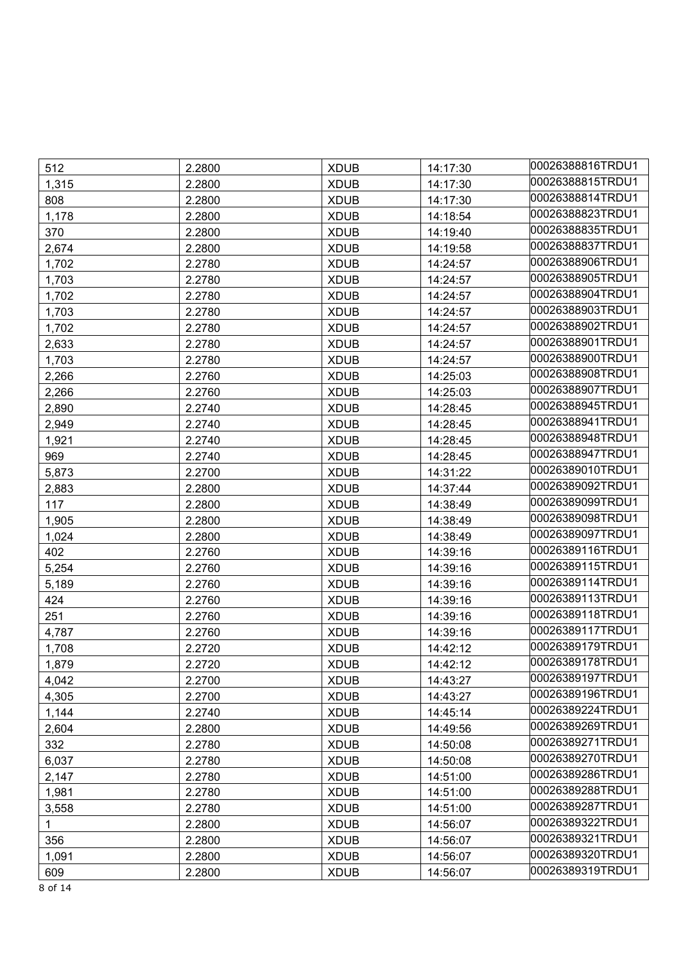| 512   | 2.2800 | <b>XDUB</b> | 14:17:30 | 00026388816TRDU1 |
|-------|--------|-------------|----------|------------------|
| 1,315 | 2.2800 | <b>XDUB</b> | 14:17:30 | 00026388815TRDU1 |
| 808   | 2.2800 | <b>XDUB</b> | 14:17:30 | 00026388814TRDU1 |
| 1,178 | 2.2800 | <b>XDUB</b> | 14:18:54 | 00026388823TRDU1 |
| 370   | 2.2800 | <b>XDUB</b> | 14:19:40 | 00026388835TRDU1 |
| 2,674 | 2.2800 | <b>XDUB</b> | 14:19:58 | 00026388837TRDU1 |
| 1,702 | 2.2780 | <b>XDUB</b> | 14:24:57 | 00026388906TRDU1 |
| 1,703 | 2.2780 | <b>XDUB</b> | 14:24:57 | 00026388905TRDU1 |
| 1,702 | 2.2780 | <b>XDUB</b> | 14:24:57 | 00026388904TRDU1 |
| 1,703 | 2.2780 | <b>XDUB</b> | 14:24:57 | 00026388903TRDU1 |
| 1,702 | 2.2780 | <b>XDUB</b> | 14:24:57 | 00026388902TRDU1 |
| 2,633 | 2.2780 | <b>XDUB</b> | 14:24:57 | 00026388901TRDU1 |
| 1,703 | 2.2780 | <b>XDUB</b> | 14:24:57 | 00026388900TRDU1 |
| 2,266 | 2.2760 | <b>XDUB</b> | 14:25:03 | 00026388908TRDU1 |
| 2,266 | 2.2760 | <b>XDUB</b> | 14:25:03 | 00026388907TRDU1 |
| 2,890 | 2.2740 | <b>XDUB</b> | 14:28:45 | 00026388945TRDU1 |
| 2,949 | 2.2740 | <b>XDUB</b> | 14:28:45 | 00026388941TRDU1 |
| 1,921 | 2.2740 | <b>XDUB</b> | 14:28:45 | 00026388948TRDU1 |
| 969   | 2.2740 | <b>XDUB</b> | 14:28:45 | 00026388947TRDU1 |
| 5,873 | 2.2700 | <b>XDUB</b> | 14:31:22 | 00026389010TRDU1 |
| 2,883 | 2.2800 | <b>XDUB</b> | 14:37:44 | 00026389092TRDU1 |
| 117   | 2.2800 | <b>XDUB</b> | 14:38:49 | 00026389099TRDU1 |
| 1,905 | 2.2800 | <b>XDUB</b> | 14:38:49 | 00026389098TRDU1 |
| 1,024 | 2.2800 | <b>XDUB</b> | 14:38:49 | 00026389097TRDU1 |
| 402   | 2.2760 | <b>XDUB</b> | 14:39:16 | 00026389116TRDU1 |
| 5,254 | 2.2760 | <b>XDUB</b> | 14:39:16 | 00026389115TRDU1 |
| 5,189 | 2.2760 | <b>XDUB</b> | 14:39:16 | 00026389114TRDU1 |
| 424   | 2.2760 | <b>XDUB</b> | 14:39:16 | 00026389113TRDU1 |
| 251   | 2.2760 | <b>XDUB</b> | 14:39:16 | 00026389118TRDU1 |
| 4,787 | 2.2760 | <b>XDUB</b> | 14:39:16 | 00026389117TRDU1 |
| 1,708 | 2.2720 | <b>XDUB</b> | 14:42:12 | 00026389179TRDU1 |
| 1,879 | 2.2720 | <b>XDUB</b> | 14:42:12 | 00026389178TRDU1 |
| 4,042 | 2.2700 | <b>XDUB</b> | 14:43:27 | 00026389197TRDU1 |
| 4,305 | 2.2700 | <b>XDUB</b> | 14:43:27 | 00026389196TRDU1 |
| 1,144 | 2.2740 | <b>XDUB</b> | 14:45:14 | 00026389224TRDU1 |
| 2,604 | 2.2800 | <b>XDUB</b> | 14:49:56 | 00026389269TRDU1 |
| 332   | 2.2780 | <b>XDUB</b> | 14:50:08 | 00026389271TRDU1 |
| 6,037 | 2.2780 | <b>XDUB</b> | 14:50:08 | 00026389270TRDU1 |
| 2,147 | 2.2780 | <b>XDUB</b> | 14:51:00 | 00026389286TRDU1 |
| 1,981 | 2.2780 | <b>XDUB</b> | 14:51:00 | 00026389288TRDU1 |
| 3,558 | 2.2780 | <b>XDUB</b> | 14:51:00 | 00026389287TRDU1 |
| 1     | 2.2800 | <b>XDUB</b> | 14:56:07 | 00026389322TRDU1 |
| 356   | 2.2800 | <b>XDUB</b> | 14:56:07 | 00026389321TRDU1 |
| 1,091 | 2.2800 | <b>XDUB</b> | 14:56:07 | 00026389320TRDU1 |
| 609   | 2.2800 | <b>XDUB</b> | 14:56:07 | 00026389319TRDU1 |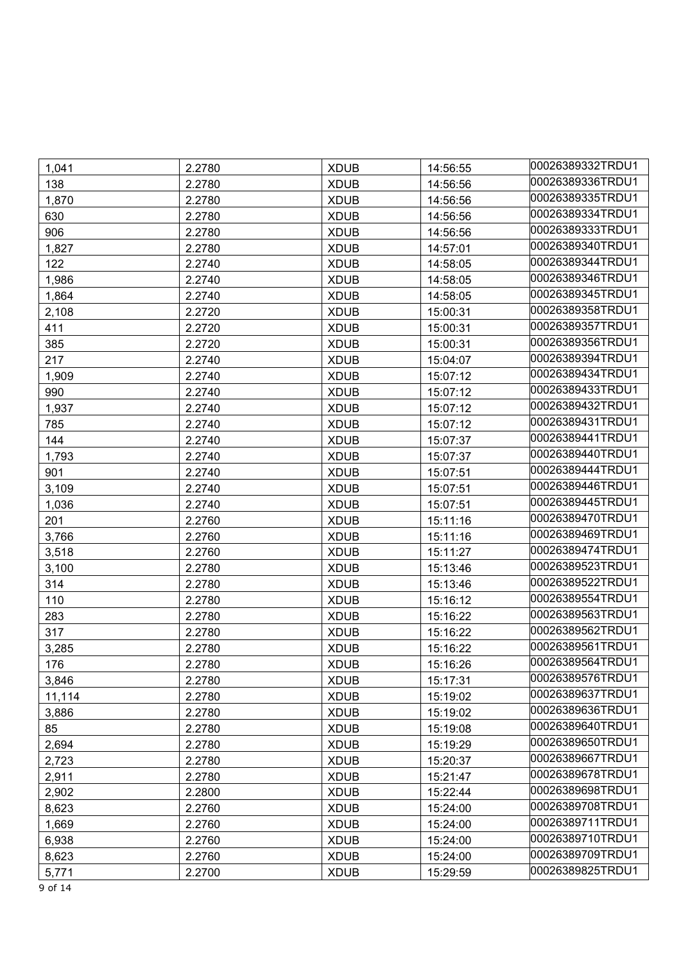| 1,041  | 2.2780 | <b>XDUB</b> | 14:56:55 | 00026389332TRDU1 |
|--------|--------|-------------|----------|------------------|
| 138    | 2.2780 | <b>XDUB</b> | 14:56:56 | 00026389336TRDU1 |
| 1,870  | 2.2780 | <b>XDUB</b> | 14:56:56 | 00026389335TRDU1 |
| 630    | 2.2780 | <b>XDUB</b> | 14:56:56 | 00026389334TRDU1 |
| 906    | 2.2780 | <b>XDUB</b> | 14:56:56 | 00026389333TRDU1 |
| 1,827  | 2.2780 | <b>XDUB</b> | 14:57:01 | 00026389340TRDU1 |
| 122    | 2.2740 | <b>XDUB</b> | 14:58:05 | 00026389344TRDU1 |
| 1,986  | 2.2740 | <b>XDUB</b> | 14:58:05 | 00026389346TRDU1 |
| 1,864  | 2.2740 | <b>XDUB</b> | 14:58:05 | 00026389345TRDU1 |
| 2,108  | 2.2720 | <b>XDUB</b> | 15:00:31 | 00026389358TRDU1 |
| 411    | 2.2720 | <b>XDUB</b> | 15:00:31 | 00026389357TRDU1 |
| 385    | 2.2720 | <b>XDUB</b> | 15:00:31 | 00026389356TRDU1 |
| 217    | 2.2740 | <b>XDUB</b> | 15:04:07 | 00026389394TRDU1 |
| 1,909  | 2.2740 | <b>XDUB</b> | 15:07:12 | 00026389434TRDU1 |
| 990    | 2.2740 | <b>XDUB</b> | 15:07:12 | 00026389433TRDU1 |
| 1,937  | 2.2740 | <b>XDUB</b> | 15:07:12 | 00026389432TRDU1 |
| 785    | 2.2740 | <b>XDUB</b> | 15:07:12 | 00026389431TRDU1 |
| 144    | 2.2740 | <b>XDUB</b> | 15:07:37 | 00026389441TRDU1 |
| 1,793  | 2.2740 | <b>XDUB</b> | 15:07:37 | 00026389440TRDU1 |
| 901    | 2.2740 | <b>XDUB</b> | 15:07:51 | 00026389444TRDU1 |
| 3,109  | 2.2740 | <b>XDUB</b> | 15:07:51 | 00026389446TRDU1 |
| 1,036  | 2.2740 | <b>XDUB</b> | 15:07:51 | 00026389445TRDU1 |
| 201    | 2.2760 | <b>XDUB</b> | 15:11:16 | 00026389470TRDU1 |
| 3,766  | 2.2760 | <b>XDUB</b> | 15:11:16 | 00026389469TRDU1 |
| 3,518  | 2.2760 | <b>XDUB</b> | 15:11:27 | 00026389474TRDU1 |
| 3,100  | 2.2780 | <b>XDUB</b> | 15:13:46 | 00026389523TRDU1 |
| 314    | 2.2780 | <b>XDUB</b> | 15:13:46 | 00026389522TRDU1 |
| 110    | 2.2780 | <b>XDUB</b> | 15:16:12 | 00026389554TRDU1 |
| 283    | 2.2780 | <b>XDUB</b> | 15:16:22 | 00026389563TRDU1 |
| 317    | 2.2780 | <b>XDUB</b> | 15:16:22 | 00026389562TRDU1 |
| 3,285  | 2.2780 | <b>XDUB</b> | 15:16:22 | 00026389561TRDU1 |
| 176    | 2.2780 | <b>XDUB</b> | 15:16:26 | 00026389564TRDU1 |
| 3,846  | 2.2780 | <b>XDUB</b> | 15:17:31 | 00026389576TRDU1 |
| 11,114 | 2.2780 | <b>XDUB</b> | 15:19:02 | 00026389637TRDU1 |
| 3,886  | 2.2780 | <b>XDUB</b> | 15:19:02 | 00026389636TRDU1 |
| 85     | 2.2780 | <b>XDUB</b> | 15:19:08 | 00026389640TRDU1 |
| 2,694  | 2.2780 | <b>XDUB</b> | 15:19:29 | 00026389650TRDU1 |
| 2,723  | 2.2780 | <b>XDUB</b> | 15:20:37 | 00026389667TRDU1 |
| 2,911  | 2.2780 | <b>XDUB</b> | 15:21:47 | 00026389678TRDU1 |
| 2,902  | 2.2800 | <b>XDUB</b> | 15:22:44 | 00026389698TRDU1 |
| 8,623  | 2.2760 | <b>XDUB</b> | 15:24:00 | 00026389708TRDU1 |
| 1,669  | 2.2760 | <b>XDUB</b> | 15:24:00 | 00026389711TRDU1 |
| 6,938  | 2.2760 | <b>XDUB</b> | 15:24:00 | 00026389710TRDU1 |
| 8,623  | 2.2760 | <b>XDUB</b> | 15:24:00 | 00026389709TRDU1 |
| 5,771  | 2.2700 | <b>XDUB</b> | 15:29:59 | 00026389825TRDU1 |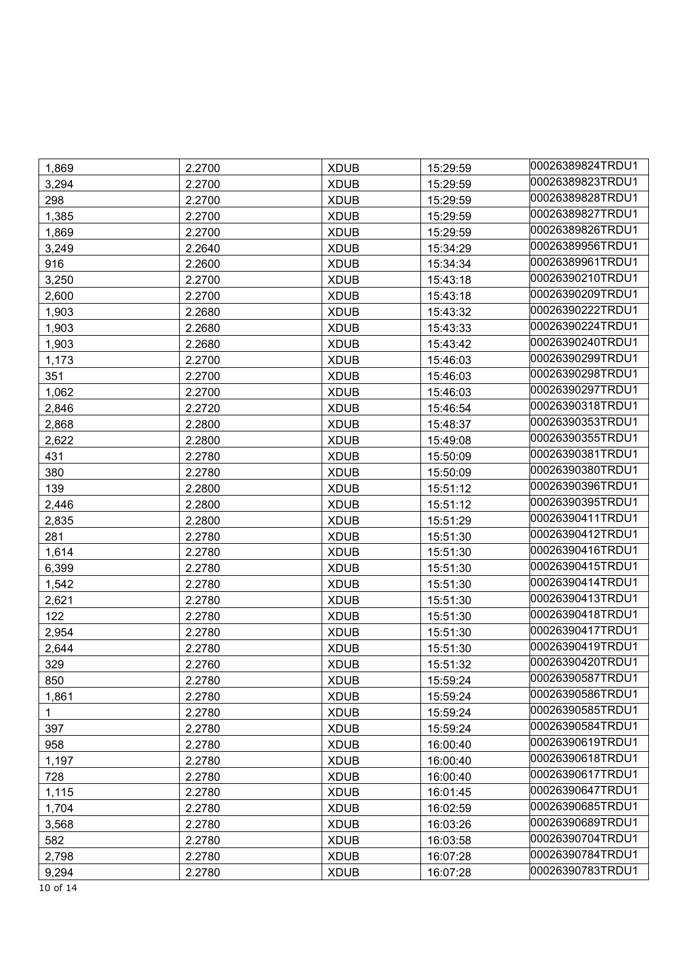| 1,869 | 2.2700 | <b>XDUB</b> | 15:29:59 | 00026389824TRDU1 |
|-------|--------|-------------|----------|------------------|
| 3,294 | 2.2700 | <b>XDUB</b> | 15:29:59 | 00026389823TRDU1 |
| 298   | 2.2700 | <b>XDUB</b> | 15:29:59 | 00026389828TRDU1 |
| 1,385 | 2.2700 | <b>XDUB</b> | 15:29:59 | 00026389827TRDU1 |
| 1,869 | 2.2700 | <b>XDUB</b> | 15:29:59 | 00026389826TRDU1 |
| 3,249 | 2.2640 | <b>XDUB</b> | 15:34:29 | 00026389956TRDU1 |
| 916   | 2.2600 | <b>XDUB</b> | 15:34:34 | 00026389961TRDU1 |
| 3,250 | 2.2700 | <b>XDUB</b> | 15:43:18 | 00026390210TRDU1 |
| 2,600 | 2.2700 | <b>XDUB</b> | 15:43:18 | 00026390209TRDU1 |
| 1,903 | 2.2680 | <b>XDUB</b> | 15:43:32 | 00026390222TRDU1 |
| 1,903 | 2.2680 | <b>XDUB</b> | 15:43:33 | 00026390224TRDU1 |
| 1,903 | 2.2680 | <b>XDUB</b> | 15:43:42 | 00026390240TRDU1 |
| 1,173 | 2.2700 | <b>XDUB</b> | 15:46:03 | 00026390299TRDU1 |
| 351   | 2.2700 | <b>XDUB</b> | 15:46:03 | 00026390298TRDU1 |
| 1,062 | 2.2700 | <b>XDUB</b> | 15:46:03 | 00026390297TRDU1 |
| 2,846 | 2.2720 | <b>XDUB</b> | 15:46:54 | 00026390318TRDU1 |
| 2,868 | 2.2800 | <b>XDUB</b> | 15:48:37 | 00026390353TRDU1 |
| 2,622 | 2.2800 | <b>XDUB</b> | 15:49:08 | 00026390355TRDU1 |
| 431   | 2.2780 | <b>XDUB</b> | 15:50:09 | 00026390381TRDU1 |
| 380   | 2.2780 | <b>XDUB</b> | 15:50:09 | 00026390380TRDU1 |
| 139   | 2.2800 | <b>XDUB</b> | 15:51:12 | 00026390396TRDU1 |
| 2,446 | 2.2800 | <b>XDUB</b> | 15:51:12 | 00026390395TRDU1 |
| 2,835 | 2.2800 | <b>XDUB</b> | 15:51:29 | 00026390411TRDU1 |
| 281   | 2.2780 | <b>XDUB</b> | 15:51:30 | 00026390412TRDU1 |
| 1,614 | 2.2780 | <b>XDUB</b> | 15:51:30 | 00026390416TRDU1 |
| 6,399 | 2.2780 | <b>XDUB</b> | 15:51:30 | 00026390415TRDU1 |
| 1,542 | 2.2780 | <b>XDUB</b> | 15:51:30 | 00026390414TRDU1 |
| 2,621 | 2.2780 | <b>XDUB</b> | 15:51:30 | 00026390413TRDU1 |
| 122   | 2.2780 | <b>XDUB</b> | 15:51:30 | 00026390418TRDU1 |
| 2,954 | 2.2780 | <b>XDUB</b> | 15:51:30 | 00026390417TRDU1 |
| 2,644 | 2.2780 | <b>XDUB</b> | 15:51:30 | 00026390419TRDU1 |
| 329   | 2.2760 | <b>XDUB</b> | 15:51:32 | 00026390420TRDU1 |
| 850   | 2.2780 | <b>XDUB</b> | 15:59:24 | 00026390587TRDU1 |
| 1,861 | 2.2780 | <b>XDUB</b> | 15:59:24 | 00026390586TRDU1 |
| 1     | 2.2780 | <b>XDUB</b> | 15:59:24 | 00026390585TRDU1 |
| 397   | 2.2780 | <b>XDUB</b> | 15:59:24 | 00026390584TRDU1 |
| 958   | 2.2780 | <b>XDUB</b> | 16:00:40 | 00026390619TRDU1 |
| 1,197 | 2.2780 | <b>XDUB</b> | 16:00:40 | 00026390618TRDU1 |
| 728   | 2.2780 | <b>XDUB</b> | 16:00:40 | 00026390617TRDU1 |
| 1,115 | 2.2780 | <b>XDUB</b> | 16:01:45 | 00026390647TRDU1 |
| 1,704 | 2.2780 | <b>XDUB</b> | 16:02:59 | 00026390685TRDU1 |
| 3,568 | 2.2780 | <b>XDUB</b> | 16:03:26 | 00026390689TRDU1 |
| 582   | 2.2780 | <b>XDUB</b> | 16:03:58 | 00026390704TRDU1 |
| 2,798 | 2.2780 | <b>XDUB</b> | 16:07:28 | 00026390784TRDU1 |
| 9,294 | 2.2780 | <b>XDUB</b> | 16:07:28 | 00026390783TRDU1 |